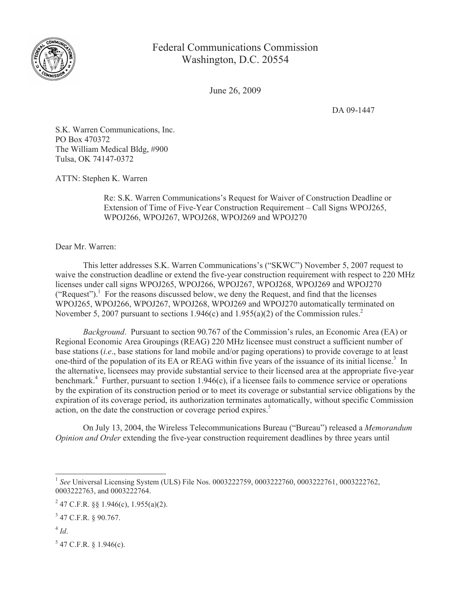

## Federal Communications Commission Washington, D.C. 20554

June 26, 2009

DA 09-1447

S.K. Warren Communications, Inc. PO Box 470372 The William Medical Bldg, #900 Tulsa, OK 74147-0372

ATTN: Stephen K. Warren

Re: S.K. Warren Communications's Request for Waiver of Construction Deadline or Extension of Time of Five-Year Construction Requirement – Call Signs WPOJ265, WPOJ266, WPOJ267, WPOJ268, WPOJ269 and WPOJ270

Dear Mr. Warren:

This letter addresses S.K. Warren Communications's ("SKWC") November 5, 2007 request to waive the construction deadline or extend the five-year construction requirement with respect to 220 MHz licenses under call signs WPOJ265, WPOJ266, WPOJ267, WPOJ268, WPOJ269 and WPOJ270 ("Request").<sup>1</sup> For the reasons discussed below, we deny the Request, and find that the licenses WPOJ265, WPOJ266, WPOJ267, WPOJ268, WPOJ269 and WPOJ270 automatically terminated on November 5, 2007 pursuant to sections 1.946(c) and 1.955(a)(2) of the Commission rules.<sup>2</sup>

*Background*. Pursuant to section 90.767 of the Commission's rules, an Economic Area (EA) or Regional Economic Area Groupings (REAG) 220 MHz licensee must construct a sufficient number of base stations (*i.e*., base stations for land mobile and/or paging operations) to provide coverage to at least one-third of the population of its EA or REAG within five years of the issuance of its initial license.<sup>3</sup> In the alternative, licensees may provide substantial service to their licensed area at the appropriate five-year benchmark.<sup>4</sup> Further, pursuant to section 1.946(c), if a licensee fails to commence service or operations by the expiration of its construction period or to meet its coverage or substantial service obligations by the expiration of its coverage period, its authorization terminates automatically, without specific Commission action, on the date the construction or coverage period expires.<sup>5</sup>

On July 13, 2004, the Wireless Telecommunications Bureau ("Bureau") released a *Memorandum Opinion and Order* extending the five-year construction requirement deadlines by three years until

 $5$  47 C.F.R. § 1.946(c).

<sup>&</sup>lt;sup>1</sup> See Universal Licensing System (ULS) File Nos. 0003222759, 0003222760, 0003222761, 0003222762, 0003222763, and 0003222764.

<sup>&</sup>lt;sup>2</sup> 47 C.F.R. §§ 1.946(c), 1.955(a)(2).

<sup>3</sup> 47 C.F.R. § 90.767.

<sup>4</sup> *Id*.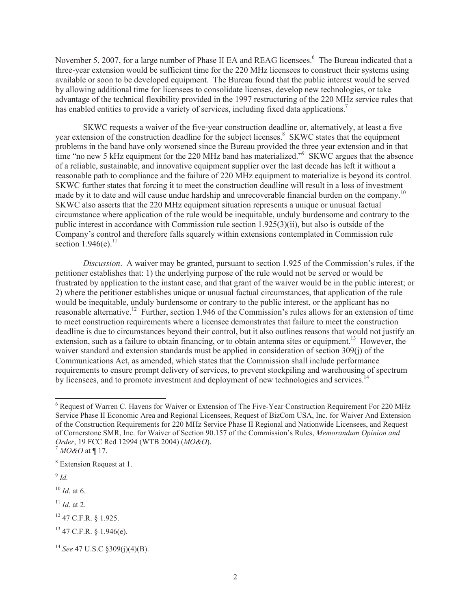November 5, 2007, for a large number of Phase II EA and REAG licensees.<sup>6</sup> The Bureau indicated that a three-year extension would be sufficient time for the 220 MHz licensees to construct their systems using available or soon to be developed equipment. The Bureau found that the public interest would be served by allowing additional time for licensees to consolidate licenses, develop new technologies, or take advantage of the technical flexibility provided in the 1997 restructuring of the 220 MHz service rules that has enabled entities to provide a variety of services, including fixed data applications.<sup>7</sup>

SKWC requests a waiver of the five-year construction deadline or, alternatively, at least a five year extension of the construction deadline for the subject licenses.<sup>8</sup> SKWC states that the equipment problems in the band have only worsened since the Bureau provided the three year extension and in that time "no new 5 kHz equipment for the 220 MHz band has materialized."<sup>9</sup> SKWC argues that the absence of a reliable, sustainable, and innovative equipment supplier over the last decade has left it without a reasonable path to compliance and the failure of 220 MHz equipment to materialize is beyond its control. SKWC further states that forcing it to meet the construction deadline will result in a loss of investment made by it to date and will cause undue hardship and unrecoverable financial burden on the company.<sup>10</sup> SKWC also asserts that the 220 MHz equipment situation represents a unique or unusual factual circumstance where application of the rule would be inequitable, unduly burdensome and contrary to the public interest in accordance with Commission rule section 1.925(3)(ii), but also is outside of the Company's control and therefore falls squarely within extensions contemplated in Commission rule section  $1.946(e)$ .<sup>11</sup>

*Discussion*. A waiver may be granted, pursuant to section 1.925 of the Commission's rules, if the petitioner establishes that: 1) the underlying purpose of the rule would not be served or would be frustrated by application to the instant case, and that grant of the waiver would be in the public interest; or 2) where the petitioner establishes unique or unusual factual circumstances, that application of the rule would be inequitable, unduly burdensome or contrary to the public interest, or the applicant has no reasonable alternative.<sup>12</sup> Further, section 1.946 of the Commission's rules allows for an extension of time to meet construction requirements where a licensee demonstrates that failure to meet the construction deadline is due to circumstances beyond their control, but it also outlines reasons that would not justify an extension, such as a failure to obtain financing, or to obtain antenna sites or equipment.<sup>13</sup> However, the waiver standard and extension standards must be applied in consideration of section 309(j) of the Communications Act, as amended, which states that the Commission shall include performance requirements to ensure prompt delivery of services, to prevent stockpiling and warehousing of spectrum by licensees, and to promote investment and deployment of new technologies and services.<sup>14</sup>

9 *Id.*

<sup>10</sup> *Id*. at 6.

- <sup>11</sup> *Id*. at 2.
- <sup>12</sup> 47 C.F.R. § 1.925.
- $13$  47 C.F.R. § 1.946(e).

<sup>&</sup>lt;sup>6</sup> Request of Warren C. Havens for Waiver or Extension of The Five-Year Construction Requirement For 220 MHz Service Phase II Economic Area and Regional Licensees, Request of BizCom USA, Inc. for Waiver And Extension of the Construction Requirements for 220 MHz Service Phase II Regional and Nationwide Licensees, and Request of Cornerstone SMR, Inc. for Waiver of Section 90.157 of the Commission's Rules, *Memorandum Opinion and Order*, 19 FCC Rcd 12994 (WTB 2004) (*MO&O*).

<sup>7</sup> *MO&O* at ¶ 17.

<sup>8</sup> Extension Request at 1.

<sup>14</sup> *See* 47 U.S.C §309(j)(4)(B).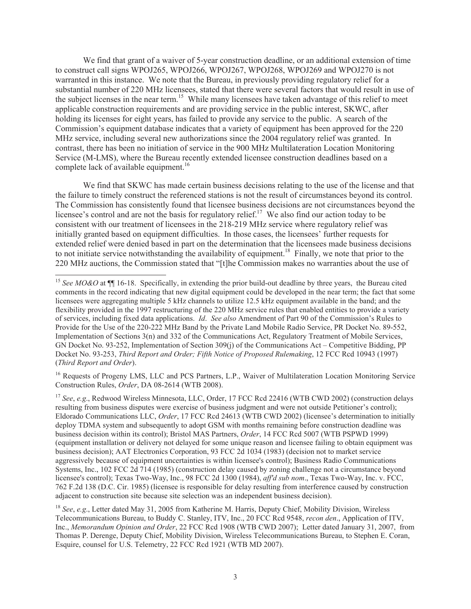We find that grant of a waiver of 5-year construction deadline, or an additional extension of time to construct call signs WPOJ265, WPOJ266, WPOJ267, WPOJ268, WPOJ269 and WPOJ270 is not warranted in this instance. We note that the Bureau, in previously providing regulatory relief for a substantial number of 220 MHz licensees, stated that there were several factors that would result in use of the subject licenses in the near term.<sup>15</sup> While many licensees have taken advantage of this relief to meet applicable construction requirements and are providing service in the public interest, SKWC, after holding its licenses for eight years, has failed to provide any service to the public. A search of the Commission's equipment database indicates that a variety of equipment has been approved for the 220 MHz service, including several new authorizations since the 2004 regulatory relief was granted. In contrast, there has been no initiation of service in the 900 MHz Multilateration Location Monitoring Service (M-LMS), where the Bureau recently extended licensee construction deadlines based on a complete lack of available equipment.<sup>16</sup>

We find that SKWC has made certain business decisions relating to the use of the license and that the failure to timely construct the referenced stations is not the result of circumstances beyond its control. The Commission has consistently found that licensee business decisions are not circumstances beyond the licensee's control and are not the basis for regulatory relief.<sup>17</sup> We also find our action today to be consistent with our treatment of licensees in the 218-219 MHz service where regulatory relief was initially granted based on equipment difficulties. In those cases, the licensees' further requests for extended relief were denied based in part on the determination that the licensees made business decisions to not initiate service notwithstanding the availability of equipment.<sup>18</sup> Finally, we note that prior to the 220 MHz auctions, the Commission stated that "[t]he Commission makes no warranties about the use of

<sup>16</sup> Requests of Progeny LMS, LLC and PCS Partners, L.P., Waiver of Multilateration Location Monitoring Service Construction Rules, *Order*, DA 08-2614 (WTB 2008).

<sup>&</sup>lt;sup>15</sup> See MO&O at ¶ 16-18. Specifically, in extending the prior build-out deadline by three years, the Bureau cited comments in the record indicating that new digital equipment could be developed in the near term; the fact that some licensees were aggregating multiple 5 kHz channels to utilize 12.5 kHz equipment available in the band; and the flexibility provided in the 1997 restructuring of the 220 MHz service rules that enabled entities to provide a variety of services, including fixed data applications. *Id*. *See also* Amendment of Part 90 of the Commission's Rules to Provide for the Use of the 220-222 MHz Band by the Private Land Mobile Radio Service, PR Docket No. 89-552, Implementation of Sections 3(n) and 332 of the Communications Act, Regulatory Treatment of Mobile Services, GN Docket No. 93-252, Implementation of Section 309(j) of the Communications Act – Competitive Bidding, PP Docket No. 93-253, *Third Report and Order; Fifth Notice of Proposed Rulemaking*, 12 FCC Rcd 10943 (1997) (*Third Report and Order*).

<sup>&</sup>lt;sup>17</sup> See, e.g., Redwood Wireless Minnesota, LLC, Order, 17 FCC Rcd 22416 (WTB CWD 2002) (construction delays resulting from business disputes were exercise of business judgment and were not outside Petitioner's control); Eldorado Communications LLC, *Order*, 17 FCC Rcd 24613 (WTB CWD 2002) (licensee's determination to initially deploy TDMA system and subsequently to adopt GSM with months remaining before construction deadline was business decision within its control); Bristol MAS Partners, *Order*, 14 FCC Rcd 5007 (WTB PSPWD 1999) (equipment installation or delivery not delayed for some unique reason and licensee failing to obtain equipment was business decision); AAT Electronics Corporation, 93 FCC 2d 1034 (1983) (decision not to market service aggressively because of equipment uncertainties is within licensee's control); Business Radio Communications Systems, Inc., 102 FCC 2d 714 (1985) (construction delay caused by zoning challenge not a circumstance beyond licensee's control); Texas Two-Way, Inc., 98 FCC 2d 1300 (1984), *aff'd sub nom*., Texas Two-Way, Inc. v. FCC, 762 F.2d 138 (D.C. Cir. 1985) (licensee is responsible for delay resulting from interference caused by construction adjacent to construction site because site selection was an independent business decision).

<sup>&</sup>lt;sup>18</sup> See, e.g., Letter dated May 31, 2005 from Katherine M. Harris, Deputy Chief, Mobility Division, Wireless Telecommunications Bureau, to Buddy C. Stanley, ITV, Inc., 20 FCC Rcd 9548, *recon den*., Application of ITV, Inc., *Memorandum Opinion and Order*, 22 FCC Rcd 1908 (WTB CWD 2007); Letter dated January 31, 2007, from Thomas P. Derenge, Deputy Chief, Mobility Division, Wireless Telecommunications Bureau, to Stephen E. Coran, Esquire, counsel for U.S. Telemetry, 22 FCC Rcd 1921 (WTB MD 2007).